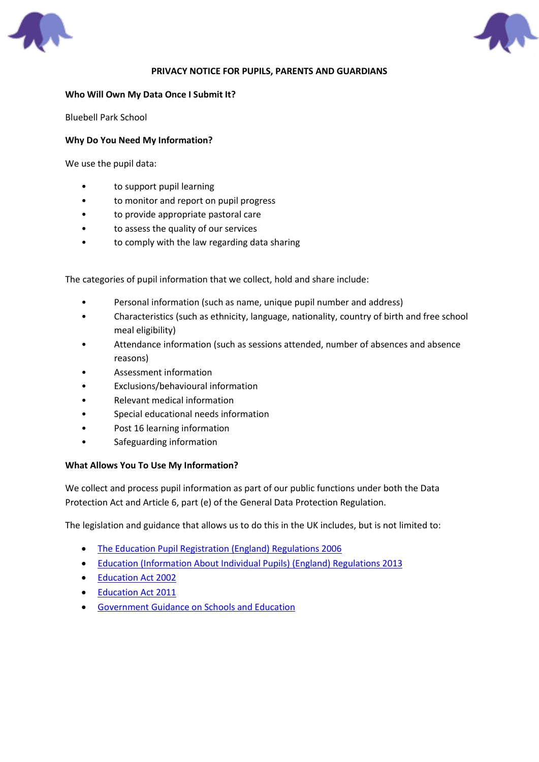



#### **PRIVACY NOTICE FOR PUPILS, PARENTS AND GUARDIANS**

#### **Who Will Own My Data Once I Submit It?**

Bluebell Park School

### **Why Do You Need My Information?**

We use the pupil data:

- to support pupil learning
- to monitor and report on pupil progress
- to provide appropriate pastoral care
- to assess the quality of our services
- to comply with the law regarding data sharing

The categories of pupil information that we collect, hold and share include:

- Personal information (such as name, unique pupil number and address)
- Characteristics (such as ethnicity, language, nationality, country of birth and free school meal eligibility)
- Attendance information (such as sessions attended, number of absences and absence reasons)
- Assessment information
- Exclusions/behavioural information
- Relevant medical information
- Special educational needs information
- Post 16 learning information
- Safeguarding information

#### **What Allows You To Use My Information?**

We collect and process pupil information as part of our public functions under both the Data Protection Act and Article 6, part (e) of the General Data Protection Regulation.

The legislation and guidance that allows us to do this in the UK includes, but is not limited to:

- [The Education Pupil Registration \(England\) Regulations 2006](http://www.legislation.gov.uk/uksi/2006/1751/regulation/8/made)
- [Education \(Information About Individual Pupils\) \(England\) Regulations 2013](http://www.legislation.gov.uk/uksi/2013/2094/made)
- [Education Act 2002](http://www.legislation.gov.uk/ukpga/2002/32/section/175)
- [Education Act 2011](http://www.legislation.gov.uk/ukpga/2011/21/contents/enacted)
- [Government Guidance on Schools and Education](https://www.gov.uk/browse/childcare-parenting/schools-education)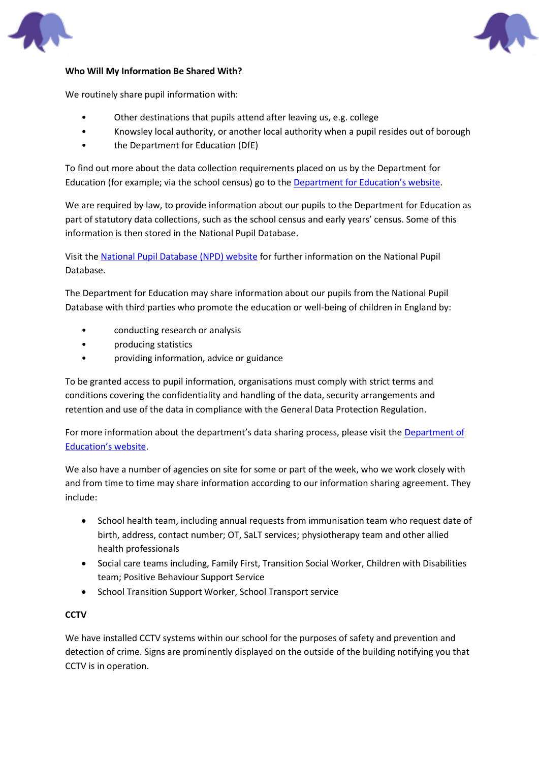



### **Who Will My Information Be Shared With?**

We routinely share pupil information with:

- Other destinations that pupils attend after leaving us, e.g. college
- Knowsley local authority, or another local authority when a pupil resides out of borough
- the Department for Education (DfE)

To find out more about the data collection requirements placed on us by the Department for Education (for example; via the school census) go to the [Department for Education's website](https://www.gov.uk/education/data-collection-and-censuses-for-schools).

We are required by law, to provide information about our pupils to the Department for Education as part of statutory data collections, such as the school census and early years' census. Some of this information is then stored in the National Pupil Database.

Visit the [National Pupil Database \(NPD\) website](https://www.gov.uk/government/publications/national-pupil-database-user-guide-and-supporting-information) for further information on the National Pupil Database.

The Department for Education may share information about our pupils from the National Pupil Database with third parties who promote the education or well-being of children in England by:

- conducting research or analysis
- producing statistics
- providing information, advice or guidance

To be granted access to pupil information, organisations must comply with strict terms and conditions covering the confidentiality and handling of the data, security arrangements and retention and use of the data in compliance with the General Data Protection Regulation.

For more information about the department's data sharing process, please visit the [Department of](https://www.gov.uk/data-protection-how-we-collect-and-share-research-data)  [Education's website](https://www.gov.uk/data-protection-how-we-collect-and-share-research-data).

We also have a number of agencies on site for some or part of the week, who we work closely with and from time to time may share information according to our information sharing agreement. They include:

- School health team, including annual requests from immunisation team who request date of birth, address, contact number; OT, SaLT services; physiotherapy team and other allied health professionals
- Social care teams including, Family First, Transition Social Worker, Children with Disabilities team; Positive Behaviour Support Service
- School Transition Support Worker, School Transport service

# **CCTV**

We have installed CCTV systems within our school for the purposes of safety and prevention and detection of crime. Signs are prominently displayed on the outside of the building notifying you that CCTV is in operation.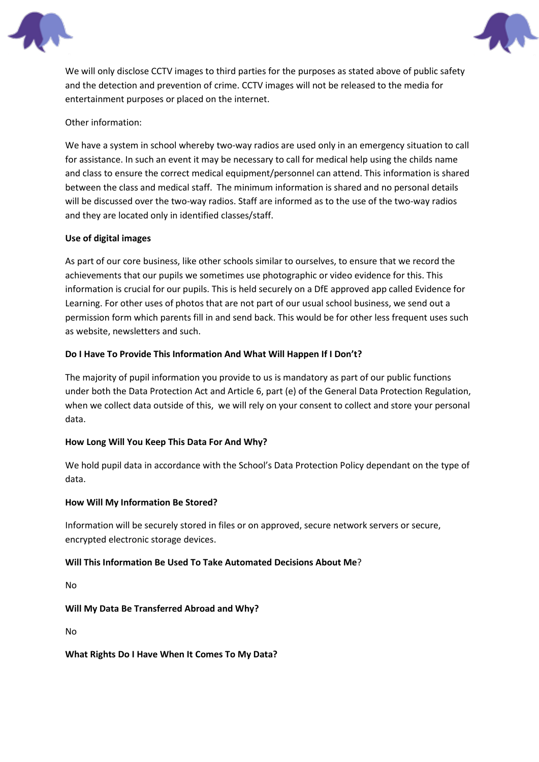



We will only disclose CCTV images to third parties for the purposes as stated above of public safety and the detection and prevention of crime. CCTV images will not be released to the media for entertainment purposes or placed on the internet.

# Other information:

We have a system in school whereby two-way radios are used only in an emergency situation to call for assistance. In such an event it may be necessary to call for medical help using the childs name and class to ensure the correct medical equipment/personnel can attend. This information is shared between the class and medical staff. The minimum information is shared and no personal details will be discussed over the two-way radios. Staff are informed as to the use of the two-way radios and they are located only in identified classes/staff.

#### **Use of digital images**

As part of our core business, like other schools similar to ourselves, to ensure that we record the achievements that our pupils we sometimes use photographic or video evidence for this. This information is crucial for our pupils. This is held securely on a DfE approved app called Evidence for Learning. For other uses of photos that are not part of our usual school business, we send out a permission form which parents fill in and send back. This would be for other less frequent uses such as website, newsletters and such.

### **Do I Have To Provide This Information And What Will Happen If I Don't?**

The majority of pupil information you provide to us is mandatory as part of our public functions under both the Data Protection Act and Article 6, part (e) of the General Data Protection Regulation, when we collect data outside of this, we will rely on your consent to collect and store your personal data.

# **How Long Will You Keep This Data For And Why?**

We hold pupil data in accordance with the School's Data Protection Policy dependant on the type of data.

#### **How Will My Information Be Stored?**

Information will be securely stored in files or on approved, secure network servers or secure, encrypted electronic storage devices.

#### **Will This Information Be Used To Take Automated Decisions About Me**?

No

**Will My Data Be Transferred Abroad and Why?**

No

**What Rights Do I Have When It Comes To My Data?**